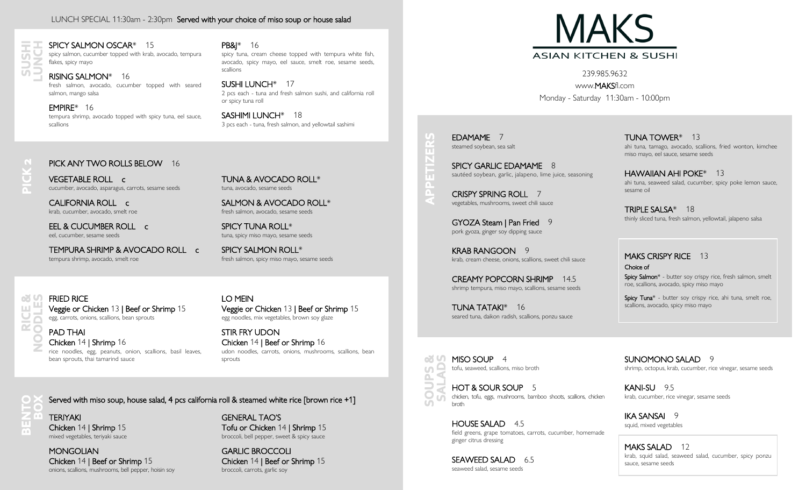#### LUNCH SPECIAL 11:30am - 2:30pm Served with your choice of miso soup or house salad



 $\overline{\phantom{a}}$ 

ш

#### SPICY SALMON OSCAR\* 15 spicy salmon, cucumber topped with krab, avocado, tempura

flakes, spicy mayo

#### RISING SALMON\* 16

fresh salmon, avocado, cucumber topped with seared salmon, mango salsa

EMPIRE\* 16 tempura shrimp, avocado topped with spicy tuna, eel sauce, scallions

#### PB&J\* 16

spicy tuna, cream cheese topped with tempura white fish, avocado, spicy mayo, eel sauce, smelt roe, sesame seeds, scallions

SUSHI LUNCH\* 17 2 pcs each - tuna and fresh salmon sushi, and california roll or spicy tuna roll

SASHIMI LUNCH\* 18 3 pcs each - tuna, fresh salmon, and yellowtail sashimi

#### PICK ANY TWO ROLLS BELOW 16

VEGETABLE ROLL c cucumber, avocado, asparagus, carrots, sesame seeds

CALIFORNIA ROLL c krab, cucumber, avocado, smelt roe

EEL & CUCUMBER ROLL c eel, cucumber, sesame seeds

TEMPURA SHRIMP & AVOCADO ROLL c tempura shrimp, avocado, smelt roe

TUNA & AVOCADO ROLL\* tuna, avocado, sesame seeds

SALMON & AVOCADO ROLL\* fresh salmon, avocado, sesame seeds

SPICY TUNA ROLL\* tuna, spicy miso mayo, sesame seeds

SPICY SALMON ROLL\* fresh salmon, spicy miso mayo, sesame seeds

FRIED RICE Veggie or Chicken 13 | Beef or Shrimp 15 egg, carrots, onions, scallions, bean sprouts

PAD THAI Chicken 14 | Shrimp 16 rice noodles, egg, peanuts, onion, scallions, basil leaves, bean sprouts, thai tamarind sauce

LO MEIN Veggie or Chicken 13 | Beef or Shrimp 15 egg noodles, mix vegetables, brown soy glaze

STIR FRY UDON Chicken 14 | Beef or Shrimp 16 udon noodles, carrots, onions, mushrooms, scallions, bean sprouts

63 MISO SOUP 4 tofu, seaweed, scallions, miso broth  $\cup$ **PEDD** 

 $\cup$ 

m

ł۳

HOT & SOUR SOUP 5 chicken, tofu, eggs, mushrooms, bamboo shoots, scallions, chicken broth

HOUSE SALAD 4.5 field greens, grape tomatoes, carrots, cucumber, homemade ginger citrus dressing

SEAWEED SALAD 6.5 seaweed salad, sesame seeds

**MAKS ASIAN KITCHEN & SUSHI** 

239.985.9632 www.MAKSfl.com Monday - Saturday 11:30am - 10:00pm

EDAMAME 7 steamed soybean, sea salt

SPICY GARLIC EDAMAME 8 sautéed soybean, garlic, jalapeno, lime juice, seasoning

CRISPY SPRING ROLL 7 vegetables, mushrooms, sweet chili sauce

GYOZA Steam | Pan Fried 9 pork gyoza, ginger soy dipping sauce

KRAB RANGOON 9 krab, cream cheese, onions, scallions, sweet chili sauce

CREAMY POPCORN SHRIMP 14.5 shrimp tempura, miso mayo, scallions, sesame seeds

TUNA TATAKI\* 16 seared tuna, daikon radish, scallions, ponzu sauce

TUNA TOWER\* 13 ahi tuna, tamago, avocado, scallions, fried wonton, kimchee miso mayo, eel sauce, sesame seeds

HAWAIIAN AHI POKE\* 13 ahi tuna, seaweed salad, cucumber, spicy poke lemon sauce, sesame oil

TRIPLE SALSA\* 18 thinly sliced tuna, fresh salmon, yellowtail, jalapeno salsa

MAKS CRISPY RICE 13 Choice of Spicy Salmon\* - butter soy crispy rice, fresh salmon, smelt roe, scallions, avocado, spicy miso mayo

Spicy Tuna<sup>\*</sup> - butter soy crispy rice, ahi tuna, smelt roe, scallions, avocado, spicy miso mayo

SUNOMONO SALAD 9 shrimp, octopus, krab, cucumber, rice vinegar, sesame seeds

KANI-SU 9.5 krab, cucumber, rice vinegar, sesame seeds

IKA SANSAI 9 squid, mixed vegetables

MAKS SALAD 12 krab, squid salad, seaweed salad, cucumber, spicy ponzu sauce, sesame seeds

Served with miso soup, house salad, 4 pcs california roll & steamed white rice [brown rice +1]

TERIYAKI Chicken 14 | Shrimp 15 mixed vegetables, teriyaki sauce

**MONGOLIAN** Chicken 14 | Beef or Shrimp 15 onions, scallions, mushrooms, bell pepper, hoisin soy GENERAL TAO'S Tofu or Chicken 14 | Shrimp 15 broccoli, bell pepper, sweet & spicy sauce

> GARLIC BROCCOLI Chicken 14 | Beef or Shrimp 15 broccoli, carrots, garlic soy